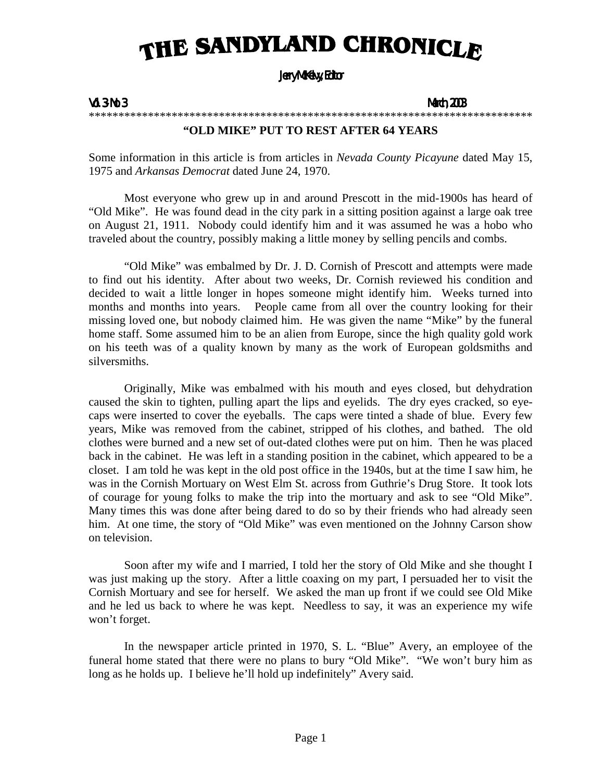Jerry McKelvy, Editor

#### Vol. 3- 3- No. 3 March, 2003 \*\*\*\*\*\*\*\*\*\*\*\*\*\*\*\*\*\*\*\*\*\*\*\*\*\*\*\*\*\*\*\*\*\*\*\*\*\*\*\*\*\*\*\*\*\*\*\*\*\*\*\*\*\*\*\*\*\*\*\*\*\*\*\*\*\*\*\*\*\*\*\*\*\*\*

#### **"OLD MIKE" PUT TO REST AFTER 64 YEARS**

Some information in this article is from articles in *Nevada County Picayune* dated May 15, 1975 and *Arkansas Democrat* dated June 24, 1970.

 Most everyone who grew up in and around Prescott in the mid-1900s has heard of "Old Mike". He was found dead in the city park in a sitting position against a large oak tree on August 21, 1911. Nobody could identify him and it was assumed he was a hobo who traveled about the country, possibly making a little money by selling pencils and combs.

 "Old Mike" was embalmed by Dr. J. D. Cornish of Prescott and attempts were made to find out his identity. After about two weeks, Dr. Cornish reviewed his condition and decided to wait a little longer in hopes someone might identify him. Weeks turned into months and months into years. People came from all over the country looking for their missing loved one, but nobody claimed him. He was given the name "Mike" by the funeral home staff. Some assumed him to be an alien from Europe, since the high quality gold work on his teeth was of a quality known by many as the work of European goldsmiths and silversmiths.

 Originally, Mike was embalmed with his mouth and eyes closed, but dehydration caused the skin to tighten, pulling apart the lips and eyelids. The dry eyes cracked, so eyecaps were inserted to cover the eyeballs. The caps were tinted a shade of blue. Every few years, Mike was removed from the cabinet, stripped of his clothes, and bathed. The old clothes were burned and a new set of out-dated clothes were put on him. Then he was placed back in the cabinet. He was left in a standing position in the cabinet, which appeared to be a closet. I am told he was kept in the old post office in the 1940s, but at the time I saw him, he was in the Cornish Mortuary on West Elm St. across from Guthrie's Drug Store. It took lots of courage for young folks to make the trip into the mortuary and ask to see "Old Mike". Many times this was done after being dared to do so by their friends who had already seen him. At one time, the story of "Old Mike" was even mentioned on the Johnny Carson show on television.

 Soon after my wife and I married, I told her the story of Old Mike and she thought I was just making up the story. After a little coaxing on my part, I persuaded her to visit the Cornish Mortuary and see for herself. We asked the man up front if we could see Old Mike and he led us back to where he was kept. Needless to say, it was an experience my wife won't forget.

 In the newspaper article printed in 1970, S. L. "Blue" Avery, an employee of the funeral home stated that there were no plans to bury "Old Mike". "We won't bury him as long as he holds up. I believe he'll hold up indefinitely" Avery said.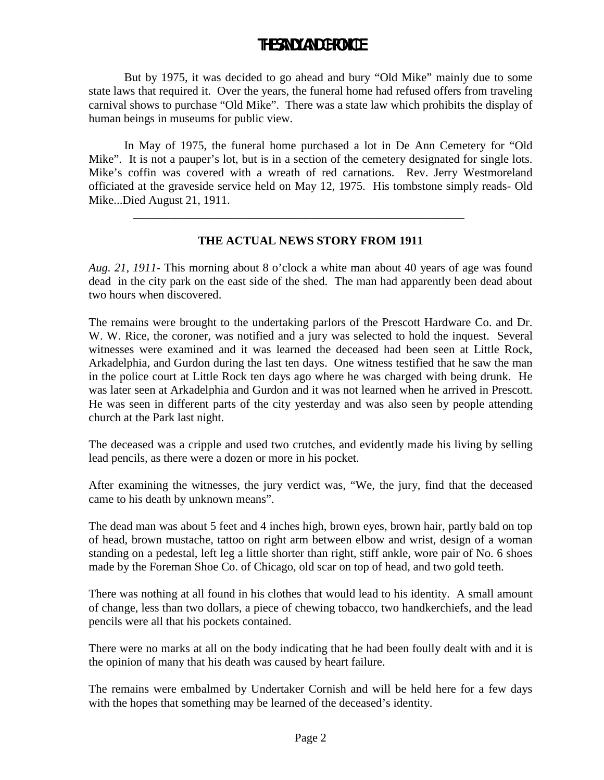But by 1975, it was decided to go ahead and bury "Old Mike" mainly due to some state laws that required it. Over the years, the funeral home had refused offers from traveling carnival shows to purchase "Old Mike". There was a state law which prohibits the display of human beings in museums for public view.

 In May of 1975, the funeral home purchased a lot in De Ann Cemetery for "Old Mike". It is not a pauper's lot, but is in a section of the cemetery designated for single lots. Mike's coffin was covered with a wreath of red carnations. Rev. Jerry Westmoreland officiated at the graveside service held on May 12, 1975. His tombstone simply reads- Old Mike...Died August 21, 1911.

#### **THE ACTUAL NEWS STORY FROM 1911**

\_\_\_\_\_\_\_\_\_\_\_\_\_\_\_\_\_\_\_\_\_\_\_\_\_\_\_\_\_\_\_\_\_\_\_\_\_\_\_\_\_\_\_\_\_\_\_\_\_\_\_\_\_\_\_\_

*Aug. 21, 1911*- This morning about 8 o'clock a white man about 40 years of age was found dead in the city park on the east side of the shed. The man had apparently been dead about two hours when discovered.

The remains were brought to the undertaking parlors of the Prescott Hardware Co. and Dr. W. W. Rice, the coroner, was notified and a jury was selected to hold the inquest. Several witnesses were examined and it was learned the deceased had been seen at Little Rock, Arkadelphia, and Gurdon during the last ten days. One witness testified that he saw the man in the police court at Little Rock ten days ago where he was charged with being drunk. He was later seen at Arkadelphia and Gurdon and it was not learned when he arrived in Prescott. He was seen in different parts of the city yesterday and was also seen by people attending church at the Park last night.

The deceased was a cripple and used two crutches, and evidently made his living by selling lead pencils, as there were a dozen or more in his pocket.

After examining the witnesses, the jury verdict was, "We, the jury, find that the deceased came to his death by unknown means".

The dead man was about 5 feet and 4 inches high, brown eyes, brown hair, partly bald on top of head, brown mustache, tattoo on right arm between elbow and wrist, design of a woman standing on a pedestal, left leg a little shorter than right, stiff ankle, wore pair of No. 6 shoes made by the Foreman Shoe Co. of Chicago, old scar on top of head, and two gold teeth.

There was nothing at all found in his clothes that would lead to his identity. A small amount of change, less than two dollars, a piece of chewing tobacco, two handkerchiefs, and the lead pencils were all that his pockets contained.

There were no marks at all on the body indicating that he had been foully dealt with and it is the opinion of many that his death was caused by heart failure.

The remains were embalmed by Undertaker Cornish and will be held here for a few days with the hopes that something may be learned of the deceased's identity.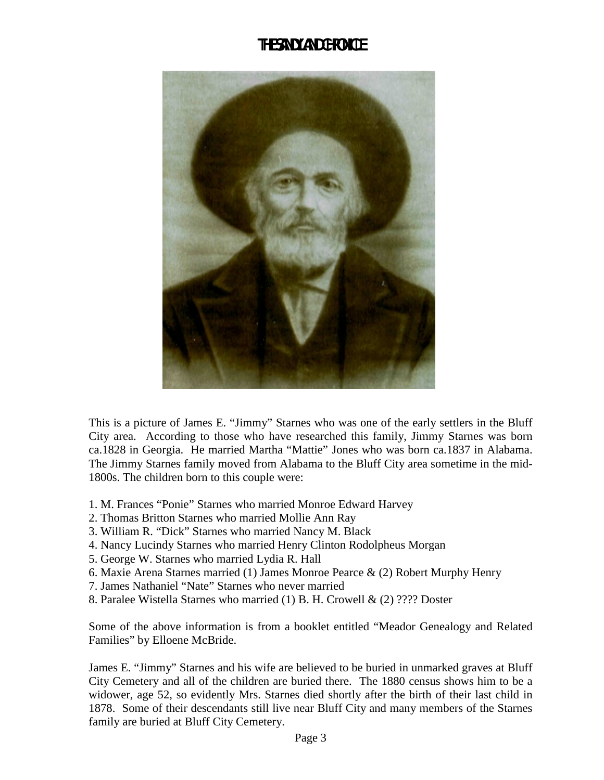

This is a picture of James E. "Jimmy" Starnes who was one of the early settlers in the Bluff City area. According to those who have researched this family, Jimmy Starnes was born ca.1828 in Georgia. He married Martha "Mattie" Jones who was born ca.1837 in Alabama. The Jimmy Starnes family moved from Alabama to the Bluff City area sometime in the mid-1800s. The children born to this couple were:

- 1. M. Frances "Ponie" Starnes who married Monroe Edward Harvey
- 2. Thomas Britton Starnes who married Mollie Ann Ray
- 3. William R. "Dick" Starnes who married Nancy M. Black
- 4. Nancy Lucindy Starnes who married Henry Clinton Rodolpheus Morgan
- 5. George W. Starnes who married Lydia R. Hall
- 6. Maxie Arena Starnes married (1) James Monroe Pearce & (2) Robert Murphy Henry
- 7. James Nathaniel "Nate" Starnes who never married
- 8. Paralee Wistella Starnes who married (1) B. H. Crowell & (2) ???? Doster

Some of the above information is from a booklet entitled "Meador Genealogy and Related Families" by Elloene McBride.

James E. "Jimmy" Starnes and his wife are believed to be buried in unmarked graves at Bluff City Cemetery and all of the children are buried there. The 1880 census shows him to be a widower, age 52, so evidently Mrs. Starnes died shortly after the birth of their last child in 1878. Some of their descendants still live near Bluff City and many members of the Starnes family are buried at Bluff City Cemetery.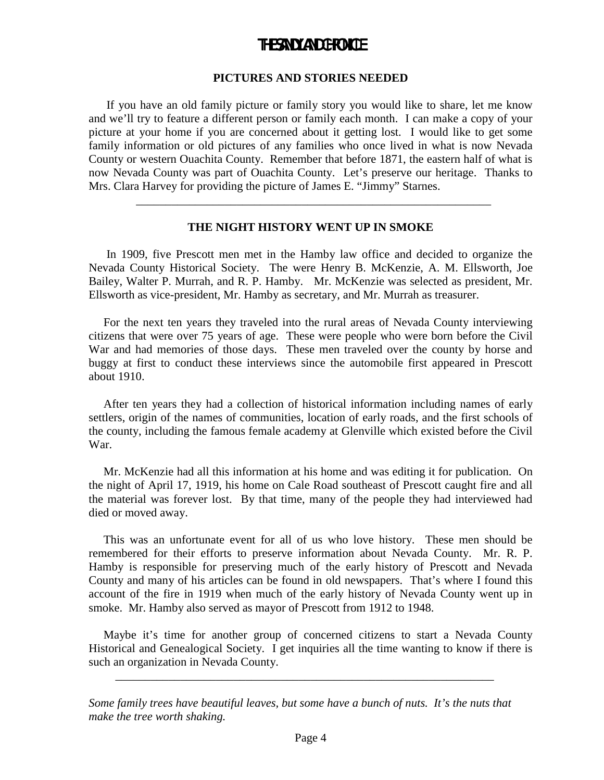#### **PICTURES AND STORIES NEEDED**

If you have an old family picture or family story you would like to share, let me know and we'll try to feature a different person or family each month. I can make a copy of your picture at your home if you are concerned about it getting lost. I would like to get some family information or old pictures of any families who once lived in what is now Nevada County or western Ouachita County. Remember that before 1871, the eastern half of what is now Nevada County was part of Ouachita County. Let's preserve our heritage. Thanks to Mrs. Clara Harvey for providing the picture of James E. "Jimmy" Starnes.

#### **THE NIGHT HISTORY WENT UP IN SMOKE**

 $\frac{1}{2}$  ,  $\frac{1}{2}$  ,  $\frac{1}{2}$  ,  $\frac{1}{2}$  ,  $\frac{1}{2}$  ,  $\frac{1}{2}$  ,  $\frac{1}{2}$  ,  $\frac{1}{2}$  ,  $\frac{1}{2}$  ,  $\frac{1}{2}$  ,  $\frac{1}{2}$  ,  $\frac{1}{2}$  ,  $\frac{1}{2}$  ,  $\frac{1}{2}$  ,  $\frac{1}{2}$  ,  $\frac{1}{2}$  ,  $\frac{1}{2}$  ,  $\frac{1}{2}$  ,  $\frac{1$ 

In 1909, five Prescott men met in the Hamby law office and decided to organize the Nevada County Historical Society. The were Henry B. McKenzie, A. M. Ellsworth, Joe Bailey, Walter P. Murrah, and R. P. Hamby. Mr. McKenzie was selected as president, Mr. Ellsworth as vice-president, Mr. Hamby as secretary, and Mr. Murrah as treasurer.

 For the next ten years they traveled into the rural areas of Nevada County interviewing citizens that were over 75 years of age. These were people who were born before the Civil War and had memories of those days. These men traveled over the county by horse and buggy at first to conduct these interviews since the automobile first appeared in Prescott about 1910.

 After ten years they had a collection of historical information including names of early settlers, origin of the names of communities, location of early roads, and the first schools of the county, including the famous female academy at Glenville which existed before the Civil War.

 Mr. McKenzie had all this information at his home and was editing it for publication. On the night of April 17, 1919, his home on Cale Road southeast of Prescott caught fire and all the material was forever lost. By that time, many of the people they had interviewed had died or moved away.

 This was an unfortunate event for all of us who love history. These men should be remembered for their efforts to preserve information about Nevada County. Mr. R. P. Hamby is responsible for preserving much of the early history of Prescott and Nevada County and many of his articles can be found in old newspapers. That's where I found this account of the fire in 1919 when much of the early history of Nevada County went up in smoke. Mr. Hamby also served as mayor of Prescott from 1912 to 1948.

 Maybe it's time for another group of concerned citizens to start a Nevada County Historical and Genealogical Society. I get inquiries all the time wanting to know if there is such an organization in Nevada County.

*Some family trees have beautiful leaves, but some have a bunch of nuts. It's the nuts that make the tree worth shaking.*

\_\_\_\_\_\_\_\_\_\_\_\_\_\_\_\_\_\_\_\_\_\_\_\_\_\_\_\_\_\_\_\_\_\_\_\_\_\_\_\_\_\_\_\_\_\_\_\_\_\_\_\_\_\_\_\_\_\_\_\_\_\_\_\_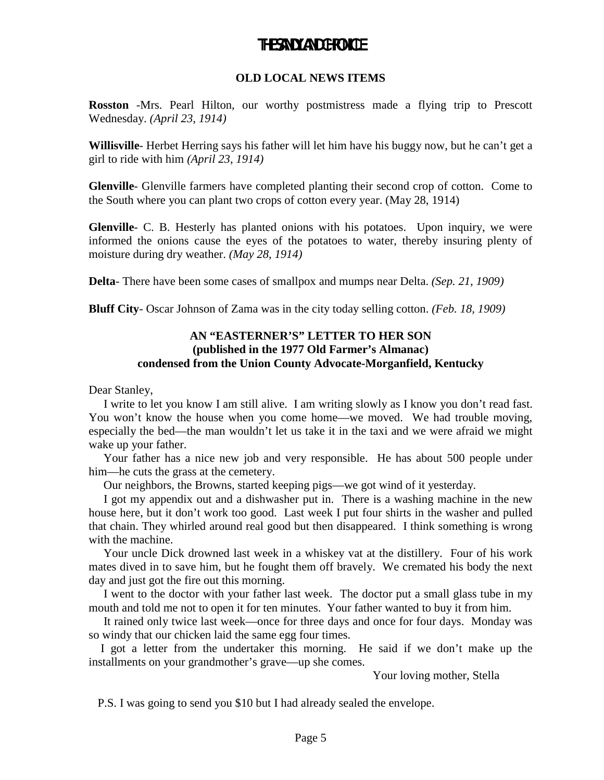#### **OLD LOCAL NEWS ITEMS**

**Rosston** -Mrs. Pearl Hilton, our worthy postmistress made a flying trip to Prescott Wednesday. *(April 23, 1914)* 

**Willisville**- Herbet Herring says his father will let him have his buggy now, but he can't get a girl to ride with him *(April 23, 1914)* 

**Glenville**- Glenville farmers have completed planting their second crop of cotton. Come to the South where you can plant two crops of cotton every year. (May 28, 1914)

**Glenville**- C. B. Hesterly has planted onions with his potatoes. Upon inquiry, we were informed the onions cause the eyes of the potatoes to water, thereby insuring plenty of moisture during dry weather. *(May 28, 1914)* 

**Delta**- There have been some cases of smallpox and mumps near Delta. *(Sep. 21, 1909)* 

**Bluff City**- Oscar Johnson of Zama was in the city today selling cotton. *(Feb. 18, 1909)* 

#### **AN "EASTERNER'S" LETTER TO HER SON (published in the 1977 Old Farmer's Almanac) condensed from the Union County Advocate-Morganfield, Kentucky**

Dear Stanley,

 I write to let you know I am still alive. I am writing slowly as I know you don't read fast. You won't know the house when you come home—we moved. We had trouble moving, especially the bed—the man wouldn't let us take it in the taxi and we were afraid we might wake up your father.

 Your father has a nice new job and very responsible. He has about 500 people under him—he cuts the grass at the cemetery.

Our neighbors, the Browns, started keeping pigs—we got wind of it yesterday.

 I got my appendix out and a dishwasher put in. There is a washing machine in the new house here, but it don't work too good. Last week I put four shirts in the washer and pulled that chain. They whirled around real good but then disappeared. I think something is wrong with the machine.

 Your uncle Dick drowned last week in a whiskey vat at the distillery. Four of his work mates dived in to save him, but he fought them off bravely. We cremated his body the next day and just got the fire out this morning.

 I went to the doctor with your father last week. The doctor put a small glass tube in my mouth and told me not to open it for ten minutes. Your father wanted to buy it from him.

 It rained only twice last week—once for three days and once for four days. Monday was so windy that our chicken laid the same egg four times.

 I got a letter from the undertaker this morning. He said if we don't make up the installments on your grandmother's grave—up she comes.

Your loving mother, Stella

P.S. I was going to send you \$10 but I had already sealed the envelope.